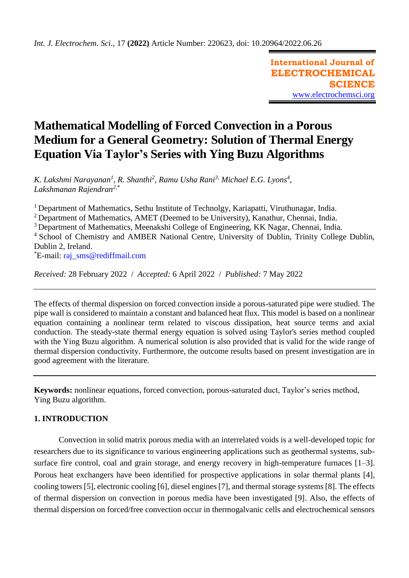**International Journal of ELECTROCHEMICAL SCIENCE** [www.electrochemsci.org](http://www.electrochemsci.org/)

# **Mathematical Modelling of Forced Convection in a Porous Medium for a General Geometry: Solution of Thermal Energy Equation Via Taylor's Series with Ying Buzu Algorithms**

*K. Lakshmi Narayanan<sup>1</sup>, R. Shanthi<sup>2</sup>, Ramu Usha Rani<sup>3,</sup> Michael E.G. Lyons<sup>4</sup>, Lakshmanan Rajendran2,\**

<sup>1</sup> Department of Mathematics, Sethu Institute of Technolgy, Kariapatti, Viruthunagar, India.

<sup>2</sup> Department of Mathematics, AMET (Deemed to be University), Kanathur, Chennai, India.

<sup>3</sup> Department of Mathematics, Meenakshi College of Engineering, KK Nagar, Chennai, India.

<sup>4</sup> School of Chemistry and AMBER National Centre, University of Dublin, Trinity College Dublin, Dublin 2, Ireland.

\*E-mail: [raj\\_sms@rediffmail.com](mailto:raj_sms@rediffmail.com)

*Received:* 28 February 2022/ *Accepted:* 6 April 2022 / *Published:* 7 May 2022

The effects of thermal dispersion on forced convection inside a porous-saturated pipe were studied. The pipe wall is considered to maintain a constant and balanced heat flux. This model is based on a nonlinear equation containing a nonlinear term related to viscous dissipation, heat source terms and axial conduction. The steady-state thermal energy equation is solved using Taylor's series method coupled with the Ying Buzu algorithm. A numerical solution is also provided that is valid for the wide range of thermal dispersion conductivity. Furthermore, the outcome results based on present investigation are in good agreement with the literature.

**Keywords:** nonlinear equations, forced convection, porous-saturated duct, Taylor's series method, Ying Buzu algorithm.

# **1. INTRODUCTION**

Convection in solid matrix porous media with an interrelated voids is a well-developed topic for researchers due to its significance to various engineering applications such as geothermal systems, subsurface fire control, coal and grain storage, and energy recovery in high-temperature furnaces [1–3]. Porous heat exchangers have been identified for prospective applications in solar thermal plants [4], cooling towers [5], electronic cooling [6], diesel engines [7], and thermal storage systems [8]. The effects of thermal dispersion on convection in porous media have been investigated [9]. Also, the effects of thermal dispersion on forced/free convection occur in thermogalvanic cells and electrochemical sensors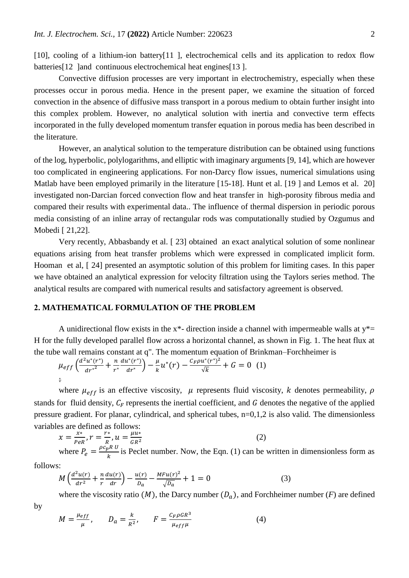[10], cooling of a lithium-ion battery[11], electrochemical cells and its application to redox flow batteries<sup>[12]</sup> land continuous electrochemical heat engines<sup>[13]</sup>.

Convective diffusion processes are very important in electrochemistry, especially when these processes occur in porous media. Hence in the present paper, we examine the situation of forced convection in the absence of diffusive mass transport in a porous medium to obtain further insight into this complex problem. However, no analytical solution with inertia and convective term effects incorporated in the fully developed momentum transfer equation in porous media has been described in the literature.

However, an analytical solution to the temperature distribution can be obtained using functions of the log, hyperbolic, polylogarithms, and elliptic with imaginary arguments [9, 14], which are however too complicated in engineering applications. For non-Darcy flow issues, numerical simulations using Matlab have been employed primarily in the literature [15-18]. Hunt et al. [19] and Lemos et al. 20] investigated non-Darcian forced convection flow and heat transfer in high-porosity fibrous media and compared their results with experimental data.. The influence of thermal dispersion in periodic porous media consisting of an inline array of rectangular rods was computationally studied by Ozgumus and Mobedi [ 21,22].

Very recently, Abbasbandy et al. [ 23] obtained an exact analytical solution of some nonlinear equations arising from heat transfer problems which were expressed in complicated implicit form. Hooman et al, [ 24] presented an asymptotic solution of this problem for limiting cases. In this paper we have obtained an analytical expression for velocity filtration using the Taylors series method. The analytical results are compared with numerical results and satisfactory agreement is observed.

# **2. MATHEMATICAL FORMULATION OF THE PROBLEM**

A unidirectional flow exists in the  $x^*$ - direction inside a channel with impermeable walls at  $y^*$ = H for the fully developed parallel flow across a horizontal channel, as shown in Fig. 1. The heat flux at the tube wall remains constant at q". The momentum equation of Brinkman–Forchheimer is

$$
\mu_{eff}\left(\frac{d^2u^*(r^*)}{dr^{*2}}+\frac{n}{r^*}\frac{du^*(r^*)}{dr^*}\right)-\frac{\mu}{k}u^*(r)-\frac{C_F\rho u^*(r^*)^2}{\sqrt{k}}+G=0 \quad (1)
$$

where  $\mu_{eff}$  is an effective viscosity,  $\mu$  represents fluid viscosity, k denotes permeability,  $\rho$ stands for fluid density,  $C_F$  represents the inertial coefficient, and  $G$  denotes the negative of the applied pressure gradient. For planar, cylindrical, and spherical tubes, n=0,1,2 is also valid. The dimensionless variables are defined as follows:

$$
\chi = \frac{x^*}{P e R}, r = \frac{r^*}{R}, u = \frac{\mu u^*}{G R^2}
$$
 (2)

where  $P_e = \frac{\rho c_p R U}{k}$  $\frac{\partial h}{\partial k}$  is Peclet number. Now, the Eqn. (1) can be written in dimensionless form as

follows:

$$
M\left(\frac{d^2u(r)}{dr^2} + \frac{n}{r}\frac{du(r)}{dr}\right) - \frac{u(r)}{D_a} - \frac{MFu(r)^2}{\sqrt{D_a}} + 1 = 0
$$
 (3)

where the viscosity ratio  $(M)$ , the Darcy number  $(D_a)$ , and Forchheimer number  $(F)$  are defined

by

$$
M = \frac{\mu_{eff}}{\mu}, \qquad D_a = \frac{k}{R^2}, \qquad F = \frac{c_F \rho G R^3}{\mu_{eff} \mu} \tag{4}
$$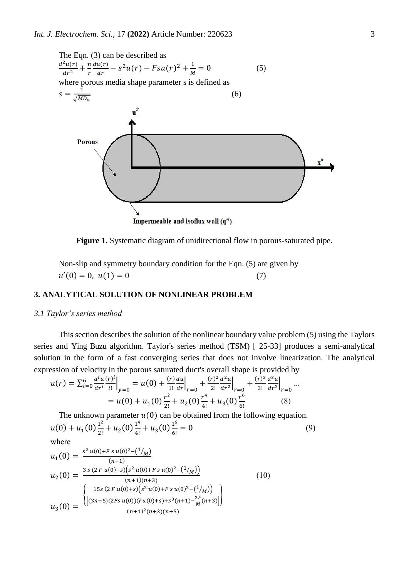

**Figure 1.** Systematic diagram of unidirectional flow in porous-saturated pipe.

Non-slip and symmetry boundary condition for the Eqn. (5) are given by  $u'(0) = 0, u(1) = 0$  (7)

#### **3. ANALYTICAL SOLUTION OF NONLINEAR PROBLEM**

#### *3.1 Taylor's series method*

This section describes the solution of the nonlinear boundary value problem (5) using the Taylors series and Ying Buzu algorithm. Taylor's series method (TSM) [ 25-33] produces a semi-analytical solution in the form of a fast converging series that does not involve linearization. The analytical expression of velocity in the porous saturated duct's overall shape is provided by

$$
u(r) = \sum_{i=0}^{6} \frac{d^{i}u(r)^{i}}{dr^{i}} \Big|_{y=0} = u(0) + \frac{(r) du}{1!} \Big|_{r=0} + \frac{(r)^{2}}{2!} \frac{d^{2}u}{dr^{2}} \Big|_{r=0} + \frac{(r)^{3}}{3!} \frac{d^{3}u}{dr^{3}} \Big|_{r=0} = u(0) + u_{1}(0) \frac{r^{2}}{2!} + u_{2}(0) \frac{r^{4}}{4!} + u_{3}(0) \frac{r^{6}}{6!}
$$
 (8)

The unknown parameter  $u(0)$  can be obtained from the following equation.  $u(0) + u_1(0) \frac{1^2}{2!}$  $\frac{1^2}{2!} + u_2(0) \frac{1^4}{4!}$  $\frac{1^4}{4!} + u_3(0) \frac{1^6}{6!}$ 6!  $= 0$  (9) where

$$
u_1(0) = \frac{s^2 u(0) + F s u(0)^2 - (1/\mu)}{(n+1)}
$$
  
\n
$$
u_2(0) = \frac{3 s (2 F u(0) + s) (s^2 u(0) + F s u(0)^2 - (1/\mu))}{(n+1)(n+3)}
$$
  
\n
$$
u_3(0) = \frac{\left( \left[ (3n+5)(2Fs u(0))(Fu(0) + s) + s^3(n+1) - \frac{2F}{M}(n+3) \right] \right)}{(n+1)^2 (n+3)(n+5)}
$$
  
\n(10)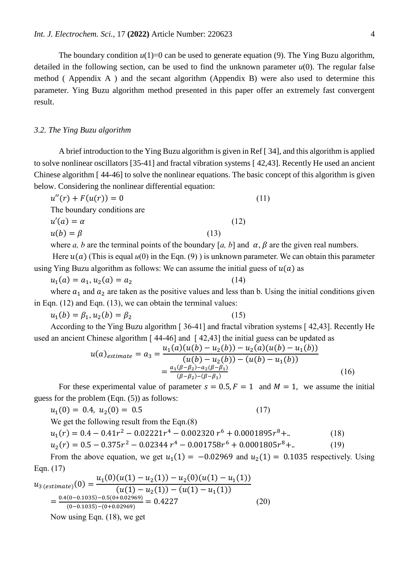The boundary condition  $u(1)=0$  can be used to generate equation (9). The Ying Buzu algorithm, detailed in the following section, can be used to find the unknown parameter  $u(0)$ . The regular false method ( Appendix A ) and the secant algorithm (Appendix B) were also used to determine this parameter. Ying Buzu algorithm method presented in this paper offer an extremely fast convergent result.

#### *3.2. The Ying Buzu algorithm*

A brief introduction to the Ying Buzu algorithm is given in Ref [ 34], and this algorithm is applied to solve nonlinear oscillators [35-41] and fractal vibration systems [ 42,43]. Recently He used an ancient Chinese algorithm [ 44-46] to solve the nonlinear equations. The basic concept of this algorithm is given below. Considering the nonlinear differential equation:

| $u''(r) + F(u(r)) = 0$                                                                   |      |      | (11) |  |
|------------------------------------------------------------------------------------------|------|------|------|--|
| The boundary conditions are.                                                             |      |      |      |  |
| $u'(a) = \alpha$                                                                         |      | (12) |      |  |
| $u(b) = \beta$                                                                           | (13) |      |      |  |
| where $\alpha$ h are the terminal naints of the houndary $\alpha$ h and $\alpha$ $\beta$ |      |      |      |  |

where *a*, *b* are the terminal points of the boundary [*a*, *b*] and  $\alpha$ ,  $\beta$  are the given real numbers.

Here  $u(a)$  (This is equal  $u(0)$  in the Eqn. (9)) is unknown parameter. We can obtain this parameter using Ying Buzu algorithm as follows: We can assume the initial guess of  $u(a)$  as

 $u_1(a) = a_1, u_2(a) = a_2$  (14)

where  $a_1$  and  $a_2$  are taken as the positive values and less than b. Using the initial conditions given in Eqn. (12) and Eqn. (13), we can obtain the terminal values:

$$
u_1(b) = \beta_1, u_2(b) = \beta_2 \tag{15}
$$

According to the Ying Buzu algorithm [ 36-41] and fractal vibration systems [ 42,43]. Recently He used an ancient Chinese algorithm [ 44-46] and [ 42,43] the initial guess can be updated as

$$
u(a)_{estimate} = a_3 = \frac{u_1(a)(u(b) - u_2(b)) - u_2(a)(u(b) - u_1(b))}{(u(b) - u_2(b)) - (u(b) - u_1(b))}
$$
  
= 
$$
\frac{a_1(\beta - \beta_2) - a_2(\beta - \beta_1)}{(\beta - \beta_2) - (\beta - \beta_1)}
$$
 (16)

For these experimental value of parameter  $s = 0.5, F = 1$  and  $M = 1$ , we assume the initial guess for the problem (Eqn. (5)) as follows:

$$
u_1(0) = 0.4, u_2(0) = 0.5 \tag{17}
$$

We get the following result from the Eqn.(8)

$$
u_1(r) = 0.4 - 0.41r^2 - 0.02221r^4 - 0.002320r^6 + 0.0001895r^8 + ... \tag{18}
$$

$$
u_2(r) = 0.5 - 0.375r^2 - 0.02344r^4 - 0.001758r^6 + 0.0001805r^8 + ... \tag{19}
$$

From the above equation, we get  $u_1(1) = -0.02969$  and  $u_2(1) = 0.1035$  respectively. Using Eqn. (17)

$$
u_{3 (estimate)}(0) = \frac{u_{1}(0)(u(1) - u_{2}(1)) - u_{2}(0)(u(1) - u_{1}(1))}{(u(1) - u_{2}(1)) - (u(1) - u_{1}(1))}
$$
  
= 
$$
\frac{0.4(0 - 0.1035) - 0.5(0 + 0.02969)}{(0 - 0.1035) - (0 + 0.02969)} = 0.4227
$$
 (20)  
Now using Eqn. (18), we get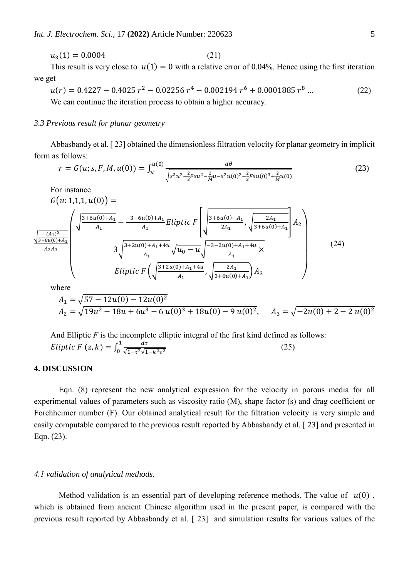$$
u_3(1) = 0.0004\tag{21}
$$

This result is very close to  $u(1) = 0$  with a relative error of 0.04%. Hence using the first iteration we get

$$
u(r) = 0.4227 - 0.4025 r^2 - 0.02256 r^4 - 0.002194 r^6 + 0.0001885 r^8 \dots \tag{22}
$$

We can continue the iteration process to obtain a higher accuracy.

#### *3.3 Previous result for planar geometry*

For instance

Abbasbandy et al. [ 23] obtained the dimensionless filtration velocity for planar geometry in implicit form as follows:

$$
r = G(u; s, F, M, u(0)) = \int_{u}^{u(0)} \frac{d\theta}{\sqrt{s^2 u^2 + \frac{2}{3} F s u^2 - \frac{2}{M} u - s^2 u(0)^2 - \frac{2}{3} F s u(0)^3 + \frac{2}{M} u(0)}}
$$
(23)

$$
G(u: 1,1,1, u(0)) =
$$
\n
$$
\frac{\sqrt{\frac{(A_1)^2}{3+6u(0)+A_1}}}{A_1} - \frac{-3-6u(0)+A_1}{A_1}Eliptic \ F\left(\sqrt{\frac{3+6u(0)+A_1}{2A_1}}, \sqrt{\frac{2A_1}{3+6u(0)+A_1}}\right) A_2\right)
$$
\n
$$
3\sqrt{\frac{3+2u(0)+A_1+4u}{A_1}}, \sqrt{u_0-u}\sqrt{\frac{-3-2u(0)+A_1+4u}{A_1}} \times
$$
\n
$$
Eliptic \ F\left(\sqrt{\frac{3+2u(0)+A_1+4u}{A_1}}, \sqrt{\frac{2A_1}{3+6u(0)+A_1}}\right) A_3\right)
$$
\nwhere\n
$$
A_1 = \sqrt{57 - 12u(0) - 12u(0)^2}
$$
\n
$$
A_2 = \sqrt{19u^2 - 18u + 6u^3 - 6u(0)^3 + 18u(0) - 9u(0)^2}, \quad A_3 = \sqrt{-2u(0) + 2 - 2u(0)^2}
$$

And Elliptic *F* is the incomplete elliptic integral of the first kind defined as follows: Eliptic F  $(z, k) = \int_0^1 \frac{d\tau}{\sqrt{1 - z^2} \sqrt{1 - z^2}}$  $\sqrt{1-\tau^2}\sqrt{1-k^2\tau^2}$ 1  $\frac{u}{\sqrt{1-\tau^2}\sqrt{1-k^2\tau^2}}$  (25)

#### **4. DISCUSSION**

Eqn. (8) represent the new analytical expression for the velocity in porous media for all experimental values of parameters such as viscosity ratio (M), shape factor (s) and drag coefficient or Forchheimer number (F). Our obtained analytical result for the filtration velocity is very simple and easily computable compared to the previous result reported by Abbasbandy et al. [ 23] and presented in Eqn. (23).

# *4.1 validation of analytical methods.*

Method validation is an essential part of developing reference methods. The value of  $u(0)$ , which is obtained from ancient Chinese algorithm used in the present paper, is compared with the previous result reported by Abbasbandy et al. [ 23] and simulation results for various values of the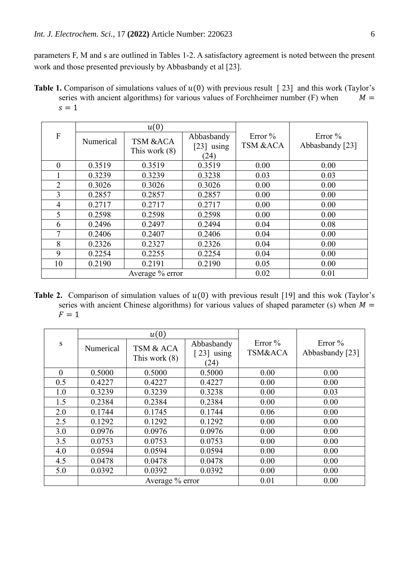parameters F, M and s are outlined in Tables 1-2. A satisfactory agreement is noted between the present work and those presented previously by Abbasbandy et al [23].

**Table 1.** Comparison of simulations values of  $u(0)$  with previous result [23] and this work (Taylor's series with ancient algorithms) for various values of Forchheimer number (F) when  $M =$  $s = 1$ 

|                | u(0)            |                                        |                                    |                        |                               |
|----------------|-----------------|----------------------------------------|------------------------------------|------------------------|-------------------------------|
| $\mathbf{F}$   | Numerical       | <b>TSM &amp;ACA</b><br>This work $(8)$ | Abbasbandy<br>$[23]$ using<br>(24) | Error $\%$<br>TSM &ACA | Error $\%$<br>Abbasbandy [23] |
| $\theta$       | 0.3519          | 0.3519                                 | 0.3519                             | 0.00                   | 0.00                          |
|                | 0.3239          | 0.3239                                 | 0.3238                             | 0.03                   | 0.03                          |
| $\overline{2}$ | 0.3026          | 0.3026                                 | 0.3026                             | 0.00                   | 0.00                          |
| 3              | 0.2857          | 0.2857                                 | 0.2857                             | 0.00                   | 0.00                          |
| $\overline{4}$ | 0.2717          | 0.2717                                 | 0.2717                             | 0.00                   | 0.00                          |
| 5              | 0.2598          | 0.2598                                 | 0.2598                             | 0.00                   | 0.00                          |
| 6              | 0.2496          | 0.2497                                 | 0.2494                             | 0.04                   | 0.08                          |
|                | 0.2406          | 0.2407                                 | 0.2406                             | 0.04                   | 0.00                          |
| 8              | 0.2326          | 0.2327                                 | 0.2326                             | 0.04                   | 0.00                          |
| 9              | 0.2254          | 0.2255                                 | 0.2254                             | 0.04                   | 0.00                          |
| 10             | 0.2190          | 0.2191                                 | 0.2190                             | 0.05                   | 0.00                          |
|                | Average % error |                                        |                                    | 0.02                   | 0.01                          |

**Table 2.** Comparison of simulation values of  $u(0)$  with previous result [19] and this wok (Taylor's series with ancient Chinese algorithms) for various values of shaped parameter (s) when  $M =$  $F = 1$ 

|          |                 | u(0)            |                          |                    |                 |
|----------|-----------------|-----------------|--------------------------|--------------------|-----------------|
| S        | Numerical       | TSM & ACA       | Abbasbandy               | Error $%$          | Error $\%$      |
|          |                 | This work $(8)$ | $\lceil 23 \rceil$ using | <b>TSM&amp;ACA</b> | Abbasbandy [23] |
|          |                 |                 | (24)                     |                    |                 |
| $\theta$ | 0.5000          | 0.5000          | 0.5000                   | 0.00               | 0.00            |
| 0.5      | 0.4227          | 0.4227          | 0.4227                   | 0.00               | 0.00            |
| 1.0      | 0.3239          | 0.3239          | 0.3238                   | 0.00               | 0.03            |
| 1.5      | 0.2384          | 0.2384          | 0.2384                   | 0.00               | 0.00            |
| 2.0      | 0.1744          | 0.1745          | 0.1744                   | 0.06               | 0.00            |
| 2.5      | 0.1292          | 0.1292          | 0.1292                   | 0.00               | 0.00            |
| 3.0      | 0.0976          | 0.0976          | 0.0976                   | 0.00               | 0.00            |
| 3.5      | 0.0753          | 0.0753          | 0.0753                   | 0.00               | 0.00            |
| 4.0      | 0.0594          | 0.0594          | 0.0594                   | 0.00               | 0.00            |
| 4.5      | 0.0478          | 0.0478          | 0.0478                   | 0.00               | 0.00            |
| 5.0      | 0.0392          | 0.0392          | 0.0392                   | 0.00               | 0.00            |
|          | Average % error |                 |                          | 0.01               | 0.00            |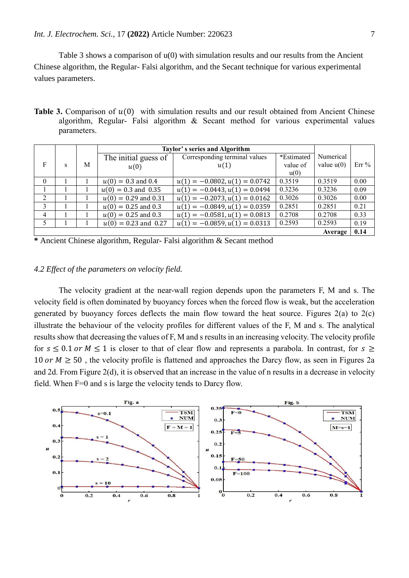Table 3 shows a comparison of u(0) with simulation results and our results from the Ancient Chinese algorithm, the Regular- Falsi algorithm, and the Secant technique for various experimental values parameters.

**Table 3.** Comparison of  $u(0)$  with simulation results and our result obtained from Ancient Chinese algorithm, Regular- Falsi algorithm & Secant method for various experimental values parameters.

|                |   |   | Taylor's series and Algorithm |                                 |            |              |      |
|----------------|---|---|-------------------------------|---------------------------------|------------|--------------|------|
|                |   |   | The initial guess of          | Corresponding terminal values   | *Estimated | Numerical    |      |
| F              | s | М | u(0)                          | u(1)                            | value of   | value $u(0)$ | Err% |
|                |   |   |                               |                                 | u(0)       |              |      |
| $\Omega$       |   |   | $u(0) = 0.3$ and 0.4          | $u(1) = -0.0802, u(1) = 0.0742$ | 0.3519     | 0.3519       | 0.00 |
|                |   |   | $u(0) = 0.3$ and 0.35         | $u(1) = -0.0443, u(1) = 0.0494$ | 0.3236     | 0.3236       | 0.09 |
| $\mathfrak{D}$ |   |   | $u(0) = 0.29$ and 0.31        | $u(1) = -0.2073, u(1) = 0.0162$ | 0.3026     | 0.3026       | 0.00 |
| 3              |   |   | $u(0) = 0.25$ and 0.3         | $u(1) = -0.0849, u(1) = 0.0359$ | 0.2851     | 0.2851       | 0.21 |
| 4              |   |   | $u(0) = 0.25$ and 0.3         | $u(1) = -0.0581, u(1) = 0.0813$ | 0.2708     | 0.2708       | 0.33 |
| 5              |   |   | $u(0) = 0.23$ and 0.27        | $u(1) = -0.0859, u(1) = 0.0313$ | 0.2593     | 0.2593       | 0.19 |
|                |   |   |                               |                                 |            | Average      | 0.14 |

**\*** Ancient Chinese algorithm, Regular- Falsi algorithm & Secant method

# *4.2 Effect of the parameters on velocity field.*

The velocity gradient at the near-wall region depends upon the parameters F, M and s. The velocity field is often dominated by buoyancy forces when the forced flow is weak, but the acceleration generated by buoyancy forces deflects the main flow toward the heat source. Figures  $2(a)$  to  $2(c)$ illustrate the behaviour of the velocity profiles for different values of the F, M and s. The analytical results show that decreasing the values of F, M and s results in an increasing velocity. The velocity profile for  $s \le 0.1$  or  $M \le 1$  is closer to that of clear flow and represents a parabola. In contrast, for  $s \ge$ 10 or  $M \ge 50$ , the velocity profile is flattened and approaches the Darcy flow, as seen in Figures 2a and 2d. From Figure 2(d), it is observed that an increase in the value of n results in a decrease in velocity field. When F=0 and s is large the velocity tends to Darcy flow.

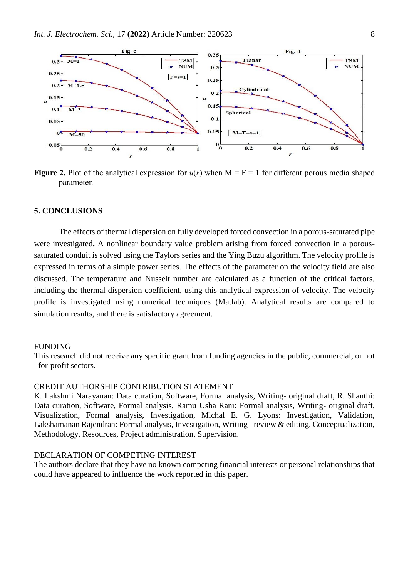

**Figure 2.** Plot of the analytical expression for  $u(r)$  when  $M = F = 1$  for different porous media shaped parameter.

#### **5. CONCLUSIONS**

The effects of thermal dispersion on fully developed forced convection in a porous-saturated pipe were investigated**.** A nonlinear boundary value problem arising from forced convection in a poroussaturated conduit is solved using the Taylors series and the Ying Buzu algorithm. The velocity profile is expressed in terms of a simple power series. The effects of the parameter on the velocity field are also discussed. The temperature and Nusselt number are calculated as a function of the critical factors, including the thermal dispersion coefficient, using this analytical expression of velocity. The velocity profile is investigated using numerical techniques (Matlab). Analytical results are compared to simulation results, and there is satisfactory agreement.

#### FUNDING

This research did not receive any specific grant from funding agencies in the public, commercial, or not –for-profit sectors.

#### CREDIT AUTHORSHIP CONTRIBUTION STATEMENT

K. Lakshmi Narayanan: Data curation, Software, Formal analysis, Writing- original draft, R. Shanthi: Data curation, Software, Formal analysis, Ramu Usha Rani: Formal analysis, Writing- original draft, Visualization, Formal analysis, Investigation, Michal E. G. Lyons: Investigation, Validation, Lakshamanan Rajendran: Formal analysis, Investigation, Writing - review & editing, Conceptualization, Methodology, Resources, Project administration, Supervision.

## DECLARATION OF COMPETING INTEREST

The authors declare that they have no known competing financial interests or personal relationships that could have appeared to influence the work reported in this paper.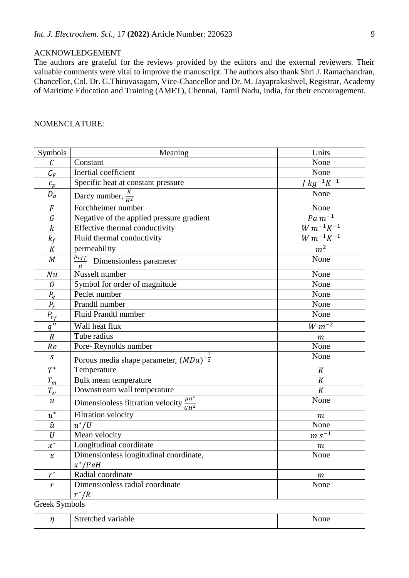# ACKNOWLEDGEMENT

The authors are grateful for the reviews provided by the editors and the external reviewers. Their valuable comments were vital to improve the manuscript. The authors also thank Shri J. Ramachandran, Chancellor, Col. Dr. G.Thiruvasagam, Vice-Chancellor and Dr. M. Jayaprakashvel, Registrar, Academy of Maritime Education and Training (AMET), Chennai, Tamil Nadu, India, for their encouragement.

# NOMENCLATURE:

| Symbols                    | Meaning                                                  | Units                 |
|----------------------------|----------------------------------------------------------|-----------------------|
| $\mathcal{C}_{0}$          | Constant                                                 | None                  |
| $C_F$                      | Inertial coefficient                                     | None                  |
| $c_p$                      | Specific heat at constant pressure                       | $J kg^{-1}K^{-1}$     |
| $D_a$                      | Darcy number, $\frac{K}{\mu^2}$                          | None                  |
| $\boldsymbol{F}$           | Forchheimer number                                       | None                  |
| G                          | Negative of the applied pressure gradient                | $Pa m^{-1}$           |
| $\boldsymbol{k}$           | Effective thermal conductivity                           | $W m^{-1} K^{-1}$     |
| $k_f$                      | Fluid thermal conductivity                               | $W m^{-1} K^{-1}$     |
| $\cal K$                   | permeability                                             | m <sup>2</sup>        |
| M                          | $\frac{\mu_{eff}}{n}$ Dimensionless parameter            | None                  |
| Nu                         | Nusselt number                                           | None                  |
| $\mathcal O$               | Symbol for order of magnitude                            | None                  |
| $P_e$                      | Peclet number                                            | None                  |
| $P_r$                      | Prandtl number                                           | None                  |
| $\overline{P_{r_f}}$       | Fluid Prandtl number                                     | None                  |
| $\overline{q''}$           | Wall heat flux                                           | $\overline{W} m^{-2}$ |
| $\overline{R}$             | Tube radius                                              | m                     |
| Re                         | Pore-Reynolds number                                     | None                  |
| S                          | Porous media shape parameter, $(MDa)^{-\frac{1}{2}}$     | None                  |
| $\overline{T}^*$           | Temperature                                              | $\cal K$              |
| $T_m$                      | Bulk mean temperature                                    | K                     |
| $T_w$                      | Downstream wall temperature                              | K                     |
| $\boldsymbol{\mathcal{u}}$ | Dimensionless filtration velocity $\frac{\mu u^*}{GH^2}$ | None                  |
| $u^*$                      | Filtration velocity                                      | $\,m$                 |
| $\hat{u}$                  | $u^*/U$                                                  | None                  |
| $\cal U$                   | Mean velocity                                            | $m s^{-1}$            |
| $x^*$                      | Longitudinal coordinate                                  | $\,m$                 |
| $\mathcal{X}$              | Dimensionless longitudinal coordinate,                   | None                  |
|                            | $x^*/PeH$                                                |                       |
| $r^*$                      | Radial coordinate                                        | $\,m$                 |
| $\boldsymbol{r}$           | Dimensionless radial coordinate<br>$r^*/R$               | None                  |
| $C$ rook $S$ vmbols        |                                                          |                       |

Greek Symbols

| $\sim$ | ه امام سمت<br><b>Stretched</b><br>variable<br>.<br>. | ---<br><b>None</b> |
|--------|------------------------------------------------------|--------------------|
|        |                                                      |                    |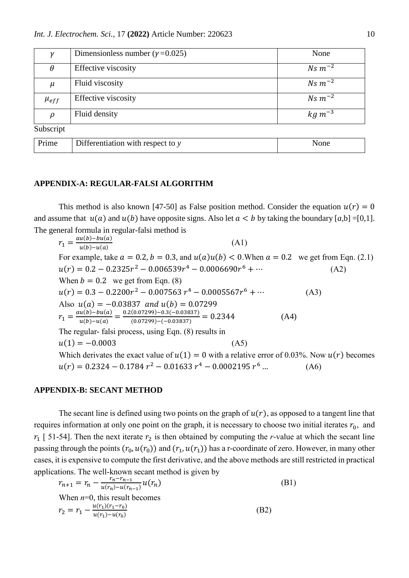| ν           | Dimensionless number ( $\gamma$ =0.025) | None           |
|-------------|-----------------------------------------|----------------|
| $\theta$    | Effective viscosity                     | $Ns m^{-2}$    |
| $\mu$       | Fluid viscosity                         | $Ns m^{-2}$    |
| $\mu_{eff}$ | Effective viscosity                     | $Ns~m^{-2}$    |
| $\rho$      | Fluid density                           | $kg \, m^{-3}$ |
| Subscript   |                                         |                |
| Prime       | Differentiation with respect to $y$     | None           |

#### **APPENDIX-A: REGULAR-FALSI ALGORITHM**

This method is also known [47-50] as False position method. Consider the equation  $u(r) = 0$ and assume that  $u(a)$  and  $u(b)$  have opposite signs. Also let  $a < b$  by taking the boundary [a,b] =[0,1]. The general formula in regular-falsi method is

 $r_1 = \frac{au(b)-bu(a)}{u(b)-u(a)}$  $u(b)-u(a)$ (A1) For example, take  $a = 0.2$ ,  $b = 0.3$ , and  $u(a)u(b) < 0$ . When  $a = 0.2$  we get from Eqn. (2.1)  $u(r) = 0.2 - 0.2325r^2 - 0.006539r^4 - 0.0006690r^6 + \cdots$  (A2) When  $b = 0.2$  we get from Eqn. (8)  $u(r) = 0.3 - 0.2200r^2 - 0.007563r^4 - 0.0005567r^6 + \cdots$  (A3) Also  $u(a) = -0.03837$  and  $u(b) = 0.07299$  $r_1 = \frac{au(b)-bu(a)}{u(b)-u(a)}$  $\frac{u(b)-bu(a)}{u(b)-u(a)} = \frac{0.2(0.07299)-0.3(-0.03837)}{(0.07299)-(-0.03837)}$  $\frac{(0.07299) - (0.3837)}{(0.07299) - (-0.03837)} = 0.2344$  (A4) The regular- falsi process, using Eqn. (8) results in  $u(1) = -0.0003$  (A5) Which derivates the exact value of  $u(1) = 0$  with a relative error of 0.03%. Now  $u(r)$  becomes  $u(r) = 0.2324 - 0.1784 r^2 - 0.01633 r^4 - 0.0002195 r$  $(A6)$ 

## **APPENDIX-B: SECANT METHOD**

The secant line is defined using two points on the graph of  $u(r)$ , as opposed to a tangent line that requires information at only one point on the graph, it is necessary to choose two initial iterates  $r_0$ , and  $r_1$  [ 51-54]. Then the next iterate  $r_2$  is then obtained by computing the *r*-value at which the secant line passing through the points  $(r_0, u(r_0))$  and  $(r_1, u(r_1))$  has a r-coordinate of zero. However, in many other cases, it is expensive to compute the first derivative, and the above methods are still restricted in practical applications. The well-known secant method is given by

$$
r_{n+1} = r_n - \frac{r_n - r_{n-1}}{u(r_n) - u(r_{n-1})} u(r_n)
$$
  
When  $n=0$ , this result becomes  

$$
r_2 = r_1 - \frac{u(r_1)(r_1 - r_0)}{u(r_1) - u(r_0)}
$$
(B2)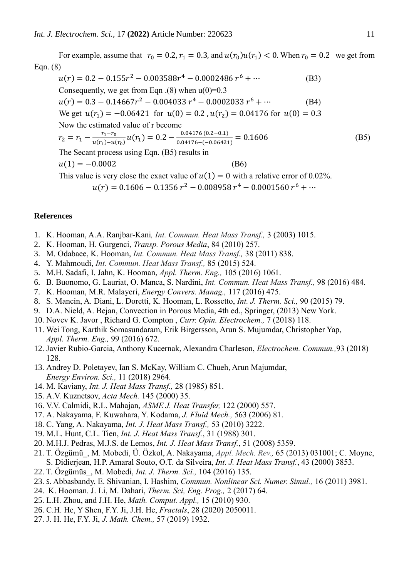For example, assume that  $r_0 = 0.2$ ,  $r_1 = 0.3$ , and  $u(r_0)u(r_1) < 0$ . When  $r_0 = 0.2$  we get from Eqn. (8)  $u(r) = 0.2 - 0.155r^2 - 0.003588r^4 - 0.0002486r^6 + \cdots$  (B3) Consequently, we get from Eqn  $(8)$  when  $u(0)=0.3$  $u(r) = 0.3 - 0.14667r^2 - 0.004033r^4 - 0.0002033r^6 + \cdots$  (B4) We get  $u(r_1) = -0.06421$  for  $u(0) = 0.2$ ,  $u(r_2) = 0.04176$  for  $u(0) = 0.3$ Now the estimated value of r become  $r_1-r_0$ 0.04176 (0.2−0.1)

$$
r_2 = r_1 - \frac{r_1 - r_0}{u(r_1) - u(r_0)} u(r_1) = 0.2 - \frac{0.04176 (0.2 - 0.1)}{0.04176 - (-0.06421)} = 0.1606
$$
 (B5)

The Secant process using Eqn. (B5) results in

$$
u(1) = -0.0002
$$
 (B6)

This value is very close the exact value of  $u(1) = 0$  with a relative error of 0.02%.

$$
u(r) = 0.1606 - 0.1356 r^2 - 0.008958 r^4 - 0.0001560 r^6 + \cdots
$$

# **References**

- 1. K. Hooman, A.A. Ranjbar-Kani*, Int. Commun. Heat Mass Transf.,* 3 (2003) 1015.
- 2. K. Hooman, H. Gurgenci, *Transp. Porous Media*, 84 (2010) 257.
- 3. M. Odabaee, K. Hooman, *Int. Commun. Heat Mass Transf.,* 38 (2011) 838.
- 4. Y. Mahmoudi, *Int. Commun. Heat Mass Transf.,* 85 (2015) 524.
- 5. M.H. Sadafi, I. Jahn, K. Hooman, *Appl. Therm. Eng.,* 105 (2016) 1061.
- 6. B. Buonomo, G. Lauriat, O. Manca, S. Nardini, *Int. Commun. Heat Mass Transf.,* 98 (2016) 484.
- 7. K. Hooman, M.R. Malayeri, *Energy Convers. Manag.,* 117 (2016) 475.
- 8. S. Mancin, A. Diani, L. Doretti, K. Hooman, L. Rossetto, *Int. J. Therm. Sci.,* 90 (2015) 79.
- 9. D.A. Nield, A. Bejan, Convection in Porous Media, 4th ed., Springer, (2013) New York.
- 10. Novev K. Javor , Richard G. Compton , *Curr. Opin. Electrochem.,* 7 (2018) 118.
- 11. Wei Tong, Karthik Somasundaram, Erik Birgersson, Arun S. Mujumdar, Christopher Yap, *Appl. Therm. Eng.,* 99 (2016) 672.
- 12. Javier Rubio-Garcia, Anthony Kucernak, Alexandra Charleson, *Electrochem. Commun.,*93 (2018) 128.
- 13. Andrey D. Poletayev, Ian S. McKay, William C. Chueh, Arun Majumdar, *Energy Environ. Sci.,* 11 (2018) 2964.
- 14. M. Kaviany, *Int. J. Heat Mass Transf.,* 28 (1985) 851.
- 15. A.V. Kuznetsov, *Acta Mech.* 145 (2000) 35.
- 16. V.V. Calmidi, R.L. Mahajan, *ASME J. Heat Transfer,* 122 (2000) 557.
- 17. A. Nakayama, F. Kuwahara, Y. Kodama, *J. Fluid Mech.,* 563 (2006) 81.
- 18. C. Yang, A. Nakayama, *Int. J. Heat Mass Transf.,* 53 (2010) 3222.
- 19. M.L. Hunt, C.L. Tien, *Int. J. Heat Mass Transf.*, 31 (1988) 301.
- 20. M.H.J. Pedras, M.J.S. de Lemos, *Int. J. Heat Mass Transf.*, 51 (2008) 5359.
- 21. T. Özgümü\_, M. Mobedi, Ü. Özkol, A. Nakayama, *Appl. Mech. Rev.,* 65 (2013) 031001; C. Moyne, S. Didierjean, H.P. Amaral Souto, O.T. da Silveira, *Int. J. Heat Mass Transf.*, 43 (2000) 3853.
- 22. T. Özgümüs\_, M. Mobedi, *Int. J. Therm. Sci.,* 104 (2016) 135.
- 23. S. Abbasbandy, E. Shivanian, I. Hashim, *Commun. Nonlinear Sci. Numer. Simul.,* 16 (2011) 3981.
- 24. K. Hooman. J. Li, M. Dahari, *Therm. Sci, Eng. Prog.,* 2 (2017) 64.
- 25. L.H. Zhou, and J.H. He, *Math. Comput. Appl.,* 15 (2010) 930.
- 26. C.H. He, Y Shen, F.Y. Ji, J.H. He, *Fractals*, 28 (2020) 2050011.
- 27. J. H. He, F.Y. Ji, *J. Math. Chem.,* 57 (2019) 1932.